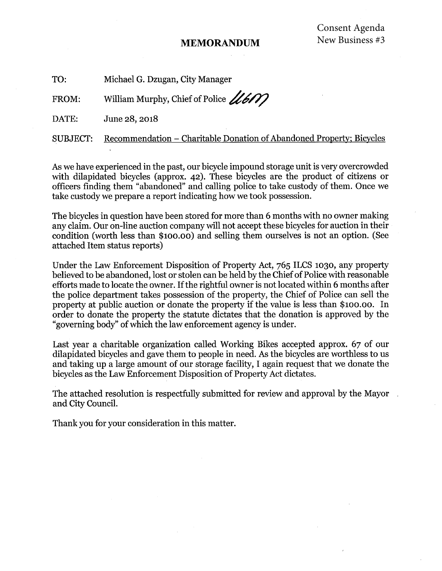#### **MEMORANDUM**

TO: Michael G. Dzugan, City Manager

William Murphy, Chief of Police 11600 FROM:

DATE: June 28, 2018

**SUBJECT:** Recommendation - Charitable Donation of Abandoned Property; Bicycles

As we have experienced in the past, our bicycle impound storage unit is very overcrowded with dilapidated bicycles (approx. 42). These bicycles are the product of citizens or officers finding them "abandoned" and calling police to take custody of them. Once we take custody we prepare a report indicating how we took possession.

The bicycles in question have been stored for more than 6 months with no owner making any claim. Our on-line auction company will not accept these bicycles for auction in their condition (worth less than \$100.00) and selling them ourselves is not an option. (See attached Item status reports)

Under the Law Enforcement Disposition of Property Act, 765 ILCS 1030, any property believed to be abandoned, lost or stolen can be held by the Chief of Police with reasonable efforts made to locate the owner. If the rightful owner is not located within 6 months after the police department takes possession of the property, the Chief of Police can sell the property at public auction or donate the property if the value is less than \$100.00. In order to donate the property the statute dictates that the donation is approved by the "governing body" of which the law enforcement agency is under.

Last year a charitable organization called Working Bikes accepted approx. 67 of our dilapidated bicycles and gave them to people in need. As the bicycles are worthless to us and taking up a large amount of our storage facility, I again request that we donate the bicycles as the Law Enforcement Disposition of Property Act dictates.

The attached resolution is respectfully submitted for review and approval by the Mayor and City Council.

Thank you for your consideration in this matter.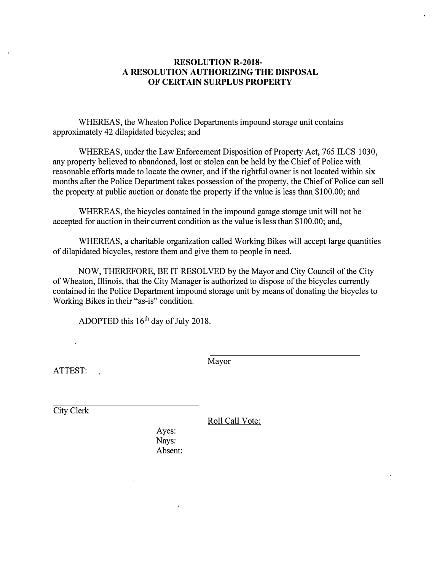#### **RESOLUTION R-2018- A RESOLUTION AUTHORIZING THE DISPOSAL OF CERTAIN SURPLUS PROPERTY**

WHEREAS, the Wheaton Police Departments impound storage unit contains approximately 42 dilapidated bicycles; and

WHEREAS, under the Law Enforcement Disposition of Property Act, 765 ILCS 1030, any property believed to abandoned, lost or stolen can be held by the Chief of Police with reasonable efforts made to locate the owner, and if the rightful owner is not located within six months after the Police Department takes possession of the property, the Chief of Police can sell the property at public auction or donate the property if the value is less than \$100.00; and

WHEREAS, the bicycles contained in the impound garage storage unit will not be accepted for auction in their current condition as the value is less than \$100.00; and,

WHEREAS, a charitable organization called Working Bikes will accept large quantities of dilapidated bicycles, restore them and give them to people in need.

NOW, THEREFORE, BE IT RESOLVED by the Mayor and City Council of the City of Wheaton, Illinois, that the City Manager is authorized to dispose of the bicycles currently contained in the Police Department impound storage unit by means of donating the bicycles to Working Bikes in their "as-is" condition.

ADOPTED this  $16<sup>th</sup>$  day of July 2018.

ATTEST:

Mayor

City Clerk

Roll Call Vote:

Ayes: Nays: Absent: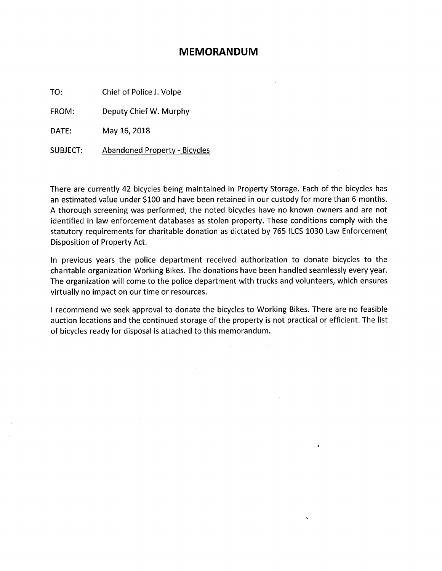#### **MEMORANDUM**

TO: Chief of Police J. Volpe

FROM: Deputy Chief W. Murphy

DATE: May 16, 2018

**SUBJECT: Abandoned Property - Bicycles** 

There are currently 42 bicycles being maintained in Property Storage. Each of the bicycles has an estimated value under \$100 and have been retained in our custody for more than 6 months. A thorough screening was performed, the noted bicycles have no known owners and are not identified in law enforcement databases as stolen property. These conditions comply with the statutory requirements for charitable donation as dictated by 765 ILCS 1030 Law Enforcement Disposition of Property Act.

In previous years the police department received authorization to donate bicycles to the charitable organization Working Bikes. The donations have been handled seamlessly every year. The organization will come to the police department with trucks and volunteers, which ensures virtually no impact on our time or resources.

I recommend we seek approval to donate the bicycles to Working Bikes. There are no feasible auction locations and the continued storage of the property is not practical or efficient. The list of bicycles ready for disposal is attached to this memorandum.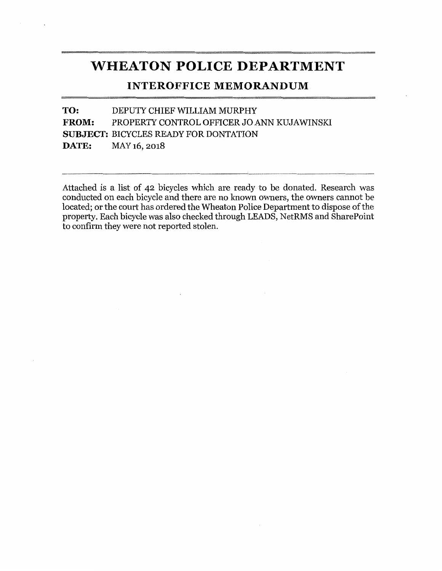#### **WHEATON POLICE DEPARTMENT**

#### **INTEROFFICE MEMORANDUM**

TO: DEPUTY CHIEF WILLIAM MURPHY FROM: PROPERTY CONTROL OFFICER JO ANN KUJAWINSKI **SUBJECT: BICYCLES READY FOR DONTATION** DATE: MAY 16, 2018

Attached is a list of 42 bicycles which are ready to be donated. Research was conducted on each bicycle and there are no known owners, the owners cannot be located; or the court has ordered the Wheaton Police Department to dispose of the property. Each bicycle was also checked through LEADS, NetRMS and SharePoint to confirm they were not reported stolen.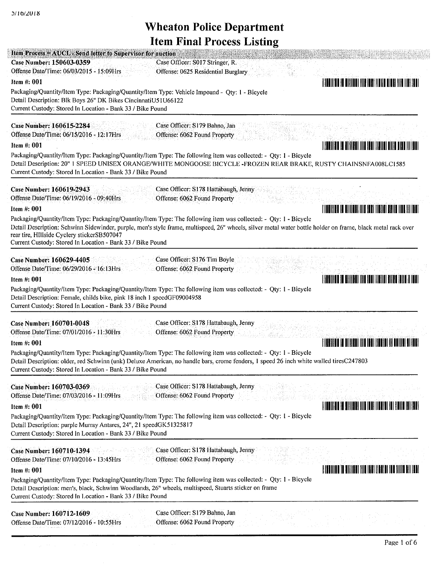| Item Process = AUCL - Send letter to Supervisor for auction<br>Case Number: 150603-0359<br>Case Officer: S017 Stringer, R.<br>Offense Date/Time: 06/03/2015 - 15:09Hrs                                                                                                                                                                                                                                 |
|--------------------------------------------------------------------------------------------------------------------------------------------------------------------------------------------------------------------------------------------------------------------------------------------------------------------------------------------------------------------------------------------------------|
| Offense: 0625 Residential Burglary<br>Item #: 001                                                                                                                                                                                                                                                                                                                                                      |
| A BUNITIN BUNITING TILET BING AND BILDET BILDET BILDET BUNITING<br>Packaging/Quantity/Item Type: Packaging/Quantity/Item Type: Vehicle Impound - Qty: 1 - Bicycle<br>Detail Description: Blk Boys 26" DK Bikes CincinnatiU51U66122<br>Current Custody: Stored In Location - Bank 33 / Bike Pound                                                                                                       |
| <b>Case Number: 160615-2284</b><br>Case Officer: S179 Bahno, Jan<br>Offense Date/Time: 06/15/2016 - 12:17Hrs<br>Offense: 6062 Found Property<br>Item $#: 001$<br>Packaging/Quantity/Item Type: Packaging/Quantity/Item Type: The following item was collected: - Qty: 1 - Bicycle<br>Detail Description: 20" 1 SPEED UNISEX ORANGE/WHITE MONGOOSE BICYCLE -FROZEN REAR BRAKE, RUSTY CHAINSNFA008LC1585 |
| Current Custody: Stored In Location - Bank 33 / Bike Pound                                                                                                                                                                                                                                                                                                                                             |
| Case Number: 160619-2943<br>Case Officer: S178 Hattabaugh, Jenny<br>Offense Date/Time: 06/19/2016 - 09:40Hrs<br>Offense: 6062 Found Property<br>TIMORINA IA OHIINAK III TAKI ITALIA BAHA III TAKI<br>Item #: 001                                                                                                                                                                                       |
| Packaging/Quantity/Item Type: Packaging/Quantity/Item Type: The following item was collected: - Qty: 1 - Bicycle<br>Detail Description: Schwinn Sidewinder, purple, men's style frame, multispeed, 26" wheels, silver metal water bottle holder on frame, black metal rack over<br>rear tire, HIllside Cyclery stickerSB507047<br>Current Custody: Stored In Location - Bank 33 / Bike Pound           |
| Case Officer: S176 Tim Boyle<br>Case Number: 160629-4405<br>Offense: 6062 Found Property<br>Offense Date/Time: 06/29/2016 - 16:13Hrs                                                                                                                                                                                                                                                                   |
| A ANNI ITEN TO HATTER THE THUI TAUTH THE THAT THE TAILER.<br>Item $#: 001$                                                                                                                                                                                                                                                                                                                             |
| Packaging/Quantity/Item Type: Packaging/Quantity/Item Type: The following item was collected: - Qty: 1 - Bicycle<br>Detail Description: Female, childs bike, pink 18 inch 1 speedGF09004958<br>Current Custody: Stored In Location - Bank 33 / Bike Pound                                                                                                                                              |
| Case Number: 160701-0048<br>Case Officer: S178 Hattabaugh, Jenny<br>Offense Date/Time: 07/01/2016 - 11:30Hrs<br>Offense: 6062 Found Property                                                                                                                                                                                                                                                           |
| <u>FINDININ IN DIIIIENI IIIN ISO ISOOFII OO III SOKI</u><br>Item #: 001                                                                                                                                                                                                                                                                                                                                |
| Packaging/Quantity/Item Type: Packaging/Quantity/Item Type: The following item was collected: - Qty: 1 - Bicycle<br>Detail Description: older, red Schwinn (unk) Deluxe American, no handle bars, crome fenders, 1 speed 26 inch white walled tiresC247803<br>Current Custody: Stored In Location - Bank 33 / Bike Pound                                                                               |
| Case Officer: S178 Hattabaugh, Jenny<br>Case Number: 160703-0369<br>Offense: 6062 Found Property<br>Offense Date/Time: 07/03/2016 - 11:09Hrs                                                                                                                                                                                                                                                           |
| <u>I I de liber i se sulli del liber de la contra la contra la contra la contra la contra la contra la contra la</u><br>Item $#: 001$<br>Packaging/Quantity/Item Type: Packaging/Quantity/Item Type: The following item was collected: - Qty: 1 - Bicycle<br>Detail Description: purple Murray Antares, 24", 21 speedGK51325817<br>Current Custody: Stored In Location - Bank 33 / Bike Pound          |
| Case Officer: S178 Hattabaugh, Jenny<br>Case Number: 160710-1394<br>Offense: 6062 Found Property<br>Offense Date/Time: 07/10/2016 - 13:45Hrs                                                                                                                                                                                                                                                           |
| <u> I d'ann an t-ann ann an 1988 (Bandar an Sìlleach) an </u><br>Item #: 001                                                                                                                                                                                                                                                                                                                           |
| Packaging/Quantity/Item Type: Packaging/Quantity/Item Type: The following item was collected: - Qty: 1 - Bicycle<br>Detail Description: men's, black, Schwinn Woodlands, 26" wheels, multispeed, Stuarts sticker on frame<br>Current Custody: Stored In Location - Bank 33 / Bike Pound                                                                                                                |
| Case Officer: S179 Bahno, Jan<br>Case Number: 160712-1609<br>Offense: 6062 Found Property<br>Offense Date/Time: 07/12/2016 - 10:55Hrs                                                                                                                                                                                                                                                                  |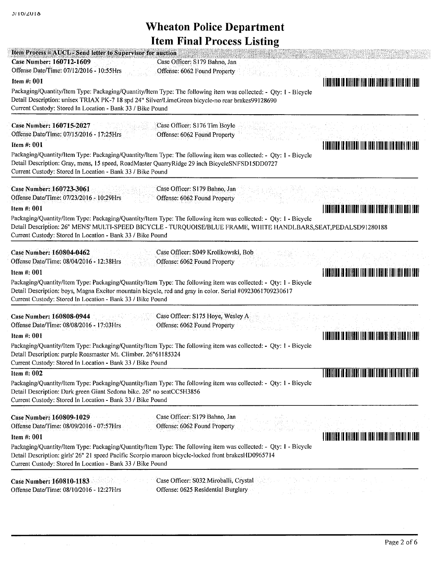| Case Number: 160712-1609<br>Case Officer: S179 Bahno, Jan<br>Offense Date/Time: 07/12/2016 - 10:55Hrs<br>Offense: 6062 Found Property                                                                                                                                                                                                                                                                                                                                                                                                                                                                                                                                                                                                                                                                                                                                                                                                                                                                           |                                                                                                                |
|-----------------------------------------------------------------------------------------------------------------------------------------------------------------------------------------------------------------------------------------------------------------------------------------------------------------------------------------------------------------------------------------------------------------------------------------------------------------------------------------------------------------------------------------------------------------------------------------------------------------------------------------------------------------------------------------------------------------------------------------------------------------------------------------------------------------------------------------------------------------------------------------------------------------------------------------------------------------------------------------------------------------|----------------------------------------------------------------------------------------------------------------|
| Item #: 001                                                                                                                                                                                                                                                                                                                                                                                                                                                                                                                                                                                                                                                                                                                                                                                                                                                                                                                                                                                                     | I ITALIYLAR ID OILIYLAYI IYO IDDI JIRDIHI INI OILLIR IDII EDHI                                                 |
| Packaging/Quantity/Item Type: Packaging/Quantity/Item Type: The following item was collected: - Qty: 1 - Bicycle<br>Detail Description: unisex TRIAX PK-7 18 spd 24" Silver/LimeGreen bicycle-no rear brakes99128690<br>Current Custody: Stored In Location - Bank 33 / Bike Pound                                                                                                                                                                                                                                                                                                                                                                                                                                                                                                                                                                                                                                                                                                                              |                                                                                                                |
| Case Number: 160715-2027<br>Case Officer: S176 Tim Boyle<br>Offense Date/Time: 07/15/2016 - 17:25Hrs<br>Offense: 6062 Found Property<br>Item $#: 001$                                                                                                                                                                                                                                                                                                                                                                                                                                                                                                                                                                                                                                                                                                                                                                                                                                                           | A FUNDICUM TRANSIDAI TITR TURI TERUTAL ITA BITATI TA EDAT                                                      |
| Packaging/Quantity/Item Type: Packaging/Quantity/Item Type: The following item was collected: - Qty: 1 - Bicycle<br>Detail Description: Gray, mens, 15 speed, RoadMaster QuarryRidge 29 inch BicycleSNFSD15DD0727<br>Current Custody: Stored In Location - Bank 33 / Bike Pound                                                                                                                                                                                                                                                                                                                                                                                                                                                                                                                                                                                                                                                                                                                                 |                                                                                                                |
| Case Number: 160723-3061<br>Case Officer: S179 Bahno, Jan<br>Offense Date/Time: 07/23/2016 - 10:29Hrs<br>Offense: 6062 Found Property<br>Item #: 001                                                                                                                                                                                                                                                                                                                                                                                                                                                                                                                                                                                                                                                                                                                                                                                                                                                            |                                                                                                                |
| Packaging/Quantity/Item Type: Packaging/Quantity/Item Type: The following item was collected: - Qty: 1 - Bicycle<br>Detail Description: 26" MENS' MULTI-SPEED BICYCLE - TURQUOISE/BLUE FRAME, WHITE HANDLBARS, SEAT, PEDALSD91280188<br>Current Custody: Stored In Location - Bank 33 / Bike Pound                                                                                                                                                                                                                                                                                                                                                                                                                                                                                                                                                                                                                                                                                                              |                                                                                                                |
|                                                                                                                                                                                                                                                                                                                                                                                                                                                                                                                                                                                                                                                                                                                                                                                                                                                                                                                                                                                                                 |                                                                                                                |
| Case Officer: S049 Krolikowski, Bob<br>Offense: 6062 Found Property                                                                                                                                                                                                                                                                                                                                                                                                                                                                                                                                                                                                                                                                                                                                                                                                                                                                                                                                             |                                                                                                                |
|                                                                                                                                                                                                                                                                                                                                                                                                                                                                                                                                                                                                                                                                                                                                                                                                                                                                                                                                                                                                                 | A INNIBIDIN AN MIIBEANT IBAN INNI BINNINE FAN INDI DUID FIND.                                                  |
|                                                                                                                                                                                                                                                                                                                                                                                                                                                                                                                                                                                                                                                                                                                                                                                                                                                                                                                                                                                                                 |                                                                                                                |
| Case Officer: S175 Hoye, Wesley A<br>Offense: 6062 Found Property                                                                                                                                                                                                                                                                                                                                                                                                                                                                                                                                                                                                                                                                                                                                                                                                                                                                                                                                               |                                                                                                                |
|                                                                                                                                                                                                                                                                                                                                                                                                                                                                                                                                                                                                                                                                                                                                                                                                                                                                                                                                                                                                                 | I INRIJINI SU BISILERI ILISO TURI FIBRITI SI ILIB ILI ELERI                                                    |
|                                                                                                                                                                                                                                                                                                                                                                                                                                                                                                                                                                                                                                                                                                                                                                                                                                                                                                                                                                                                                 |                                                                                                                |
|                                                                                                                                                                                                                                                                                                                                                                                                                                                                                                                                                                                                                                                                                                                                                                                                                                                                                                                                                                                                                 |                                                                                                                |
| Case Number: 160804-0462<br>Offense Date/Time: 08/04/2016 - 12:38Hrs<br>Item #: 001<br>Packaging/Quantity/Item Type: Packaging/Quantity/Item Type: The following item was collected: - Qty: 1 - Bicycle<br>Detail Description: boys, Magna Excitor mountain bicycle, red and gray in color. Serial #0923061709230617<br>Current Custody: Stored In Location - Bank 33 / Bike Pound<br><b>Case Number: 160808-0944</b><br>Offense Date/Time: 08/08/2016 - 17:03 Hrs<br>Item #: 001<br>Packaging/Quantity/Item Type: Packaging/Quantity/Item Type: The following item was collected: - Qty: 1 - Bicycle<br>Detail Description: purple Roasmaster Mt. Climber. 26"61185324<br>Current Custody: Stored In Location - Bank 33 / Bike Pound<br>Item #: 002<br>Packaging/Quantity/Item Type: Packaging/Quantity/Item Type: The following item was collected: - Qty: 1 - Bicycle<br>Detail Description: Dark green Giant Sedona bike. 26" no seatCC5H3856<br>Current Custody: Stored In Location - Bank 33 / Bike Pound | T TAALIAN DIE BIJN DIE VERBEURDE VAN DIE VAN DIE VAN DIE VAN DIE VAN DIE VAN DIE VAN DIE VAN DIE VAN DIE VAN D |
| Case Officer: S179 Bahno, Jan<br><b>Case Number: 160809-1029</b><br>Offense: 6062 Found Property<br>Offense Date/Time: 08/09/2016 - 07:57Hrs<br>Item #: 001                                                                                                                                                                                                                                                                                                                                                                                                                                                                                                                                                                                                                                                                                                                                                                                                                                                     |                                                                                                                |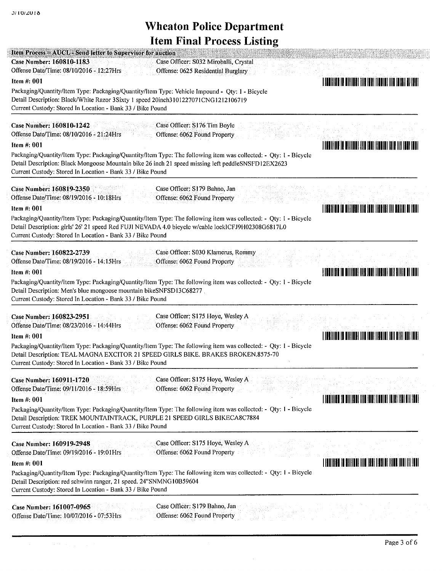.<br>PARTIJARIH DIPRIMANTISTISTI ILLETTI

| Item Process = AUCL - Send letter to Supervisor for auction<br>Case Number: 160810-1183<br>Case Officer: S032 Miroballi, Crystal<br>Offense Date/Time: 08/10/2016 - 12:27Hrs<br>Offense: 0625 Residential Burglary                                                                                                                                                                                                                                 |                                                                                                                |
|----------------------------------------------------------------------------------------------------------------------------------------------------------------------------------------------------------------------------------------------------------------------------------------------------------------------------------------------------------------------------------------------------------------------------------------------------|----------------------------------------------------------------------------------------------------------------|
| Item $#: 001$<br>Packaging/Quantity/Item Type: Packaging/Quantity/Item Type: Vehicle Impound - Qty: 1 - Bicycle<br>Detail Description: Black/White Razor 3Sixty 1 speed 20inch3101227071CNG1212106719<br>Current Custody: Stored In Location - Bank 33 / Bike Pound                                                                                                                                                                                | I I AN II I AN D'II I AN II I AN D'I AN II AN II AN II AN II AN II AN II AN II AN II AN II AN II AN II AN II A |
| <b>Case Number: 160810-1242</b><br>Case Officer: S176 Tim Boyle<br>Offense Date/Time: 08/10/2016 - 21:24Hrs<br>Offense: 6062 Found Property<br>Item #: 001<br>Packaging/Quantity/Item Type: Packaging/Quantity/Item Type: The following item was collected: - Qty: 1 - Bicycle<br>Detail Description: Black Mongoose Mountain bike 26 inch 21 speed missing left peddleSNSFD12EX2623<br>Current Custody: Stored In Location - Bank 33 / Bike Pound | <u> I reniine in Billiam (III) inn ithath inn ini 1881 iad i</u>                                               |
| Case Number: 160819-2350<br>Case Officer: S179 Bahno, Jan<br>Offense Date/Time: 08/19/2016 - 10:18Hrs<br>Offense: 6062 Found Property<br>Item #: 001<br>Packaging/Quantity/Item Type: Packaging/Quantity/Item Type: The following item was collected: - Qty: 1 - Bicycle<br>Detail Description: girls' 26' 21 speed Red FUJI NEVADA 4.0 bicycle w/cable lockICFJ9H02308G6817L0<br>Current Custody: Stored In Location - Bank 33 / Bike Pound       | I ISBN 1100 ID HIIIKOO IIIB AHDI IISBN 111 ANIIN DII BAD                                                       |
| Case Number: 160822-2739<br>Case Officer: S030 Klamerus, Rommy<br>Offense Date/Time: 08/19/2016 - 14:15Hrs<br>Offense: 6062 Found Property<br>Item #: 001<br>Packaging/Quantity/Item Type: Packaging/Quantity/Item Type: The following item was collected: - Qty: 1 - Bicycle<br>Detail Description: Men's blue mongoose mountain bikeSNFSD13C68277.<br>Current Custody: Stored In Location - Bank 33 / Bike Pound                                 | <u>E TROITIEN IN DITILIONE ITALIANE ITALIA TAIS NIITE RI TOOT</u>                                              |
| Case Officer: S175 Hoye, Wesley A<br>Case Number: 160823-2951<br>Offense Date/Time: 08/23/2016 - 14:44Hrs<br>Offense: 6062 Found Property<br>Item $#: 001$<br>Packaging/Quantity/Item Type: Packaging/Quantity/Item Type: The following item was collected: - Qty: 1 - Bicycle<br>Detail Description: TEAL MAGNA EXCITOR 21 SPEED GIRLS BIKE. BRAKES BROKEN.8575-70<br>Current Custody: Stored In Location - Bank 33 / Bike Pound                  | <u>i lokilloo is oliiloo liid lool lisuudi loll olii lool lool</u>                                             |
| Case Officer; S175 Hoye, Wesley A<br>Case Number: 160911-1720<br>Offense: 6062 Found Property<br>Offense Date/Time: 09/11/2016 - 18:59Hrs<br>Item #: 001<br>Packaging/Quantity/Item Type: Packaging/Quantity/Item Type: The following item was collected: - Qty: 1 - Bicycle<br>Detail Description: TREK MOUNTAINTRACK, PURPLE 21 SPEED GIRLS BIKECA8C7884<br>Current Custody: Stored In Location - Bank 33 / Bike Pound                           | I INNIHIN IN WIILING III BUU HUU HUU INDI KI DI SAN DI SONA                                                    |
| Case Officer: S175 Hoye, Wesley A<br>Case Number: 160919-2948<br>Offense: 6062 Found Property<br>Offense Date/Time: 09/19/2016 - 19:01 Hrs<br>Item #: 001<br>Packaging/Quantity/Item Type: Packaging/Quantity/Item Type: The following item was collected: - Qty: 1 - Bicycle<br>Detail Description: red schwinn ranger, 21 speed. 24"SNMNG10B59604<br>Current Custody: Stored In Location - Bank 33 / Bike Pound                                  | I I BILINDIA SHI BILINDIA INIDI JABI I I BILINI ISLAD I DHI ISL SHAL                                           |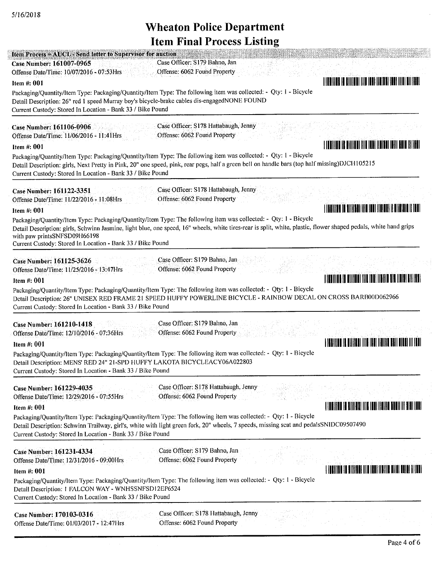| <b>Item Process = AUCL - Send letter to Supervisor for auction</b><br>Case Officer: S179 Bahno, Jan<br>Case Number: 161007-0965<br>Offense: 6062 Found Property<br>Offense Date/Time: 10/07/2016 - 07:53Hrs<br>Item $#: 001$<br>Packaging/Quantity/Item Type: Packaging/Quantity/Item Type: The following item was collected: - Qty: 1 - Bicycle<br>Detail Description: 26" red 1 speed Murray boy's bicycle-brake cables dis-engagedNONE FOUND<br>Current Custody: Stored In Location - Bank 33 / Bike Pound                                      | <u> I i dalile s is ciliber ilid i del libidad i suo ilid i dell</u>                                                  |
|----------------------------------------------------------------------------------------------------------------------------------------------------------------------------------------------------------------------------------------------------------------------------------------------------------------------------------------------------------------------------------------------------------------------------------------------------------------------------------------------------------------------------------------------------|-----------------------------------------------------------------------------------------------------------------------|
| Case Officer: S178 Hattabaugh, Jenny<br><b>Case Number: 161106-0906</b><br>Offense: 6062 Found Property<br>Offense Date/Time: 11/06/2016 - 11:41Hrs<br>Item #: 001<br>Packaging/Quantity/Item Type: Packaging/Quantity/Item Type: The following item was collected: - Qty: 1 - Bicycle<br>Detail Description: girls, Next Pretty in Pink, 20" one speed, pink, rear pegs, half a green bell on handle bars (top half missing)DJCH105215<br>Current Custody: Stored In Location - Bank 33 / Bike Pound                                              | <u> I la dheegaal ee dhiinad ind isaa isaacaan isaa dheegaalaa i</u>                                                  |
| Case Officer: S178 Hattabaugh, Jenny<br>Case Number: 161122-3351<br>Offense: 6062 Found Property<br>Offense Date/Time: 11/22/2016 - 11:08 Hrs<br>Item #: 001<br>Packaging/Quantity/Item Type: Packaging/Quantity/Item Type: The following item was collected: - Qty: 1 - Bicycle<br>Detail Description: girls, Schwinn Jasmine, light blue, one speed, 16" wheels, white tires-rear is split, white, plastic, flower shaped pedals, white hand grips<br>with paw printsSNFSD09H66198<br>Current Custody: Stored In Location - Bank 33 / Bike Pound | <u>   Ingilian In Alillan III an Indi Ilain as Isalinia II ann</u>                                                    |
| Case Officer: S179 Bahno, Jan<br>Case Number: 161125-3626<br>Offense: 6062 Found Property<br>Offense Date/Time: 11/25/2016 - 13:47Hrs<br>Item #: 001<br>Packaging/Quantity/Item Type: Packaging/Quantity/Item Type: The following item was collected: - Qty: 1 - Bicycle<br>Detail Description: 26" UNISEX RED FRAME 21 SPEED HUFFY POWERLINE BICYCLE - RAINBOW DECAL ON CROSS BARB00D062966<br>Current Custody: Stored In Location - Bank 33 / Bike Pound                                                                                         | J (BHI)IN S (9 MILITAN TILA TAH) ILAHIN HIR LIHIN BIL LANT                                                            |
| Case Officer: S179 Bahno, Jan<br><b>Case Number: 161210-1418</b><br>Offense: 6062 Found Property<br>Offense Date/Time: 12/10/2016 - 07:36Hrs<br>Item #: 001<br>Packaging/Quantity/Item Type: Packaging/Quantity/Item Type: The following item was collected: - Qty: 1 - Bicycle<br>Detail Description: MENS' RED 24" 21-SPD HUFFY LAKOTA BICYCLEACY06A022803<br>Current Custody: Stored In Location - Bank 33 / Bike Pound                                                                                                                         | I SAN ITALI IL DIITALI ITA TUDI TALITA DULLA LULLA ITALI                                                              |
| Case Officer: S178 Hattabaugh, Jenny<br>Case Number: 161229-4035<br>Offense: 6062 Found Property<br>Offense Date/Time: 12/29/2016 - 07:55Hrs<br>Item #: 001<br>Packaging/Quantity/Item Type: Packaging/Quantity/Item Type: The following item was collected: - Qty: 1 - Bicycle<br>Detail Description: Schwinn Trailway, girl's, white with light green fork, 20" wheels, 7 speeds, missing scat and pedalsSNIDC09507490<br>Current Custody: Stored In Location - Bank 33 / Bike Pound                                                             | <u>I LANDINIA LA RIMIARI INA INDI LEOLIA BRANI IN RIDI INDI </u>                                                      |
| Case Officer: S179 Bahno, Jan<br>Case Number: 161231-4334<br>Offense: 6062 Found Property<br>Offense Date/Time: 12/31/2016 - 09:00 Hrs<br>Item #: 001<br>Packaging/Quantity/Item Type: Packaging/Quantity/Item Type: The following item was collected: - Qty: 1 - Bicycle<br>Detail Description: 1 FALCON WAY - WNHSSNFSD12EP6524                                                                                                                                                                                                                  | <u> A TENENIA DE SU SITE A ESPECIA DE LA PARTE DE SUBLIMATION DE LA POLITICA DE LA POLITICA DE LA POLITICA DE LA </u> |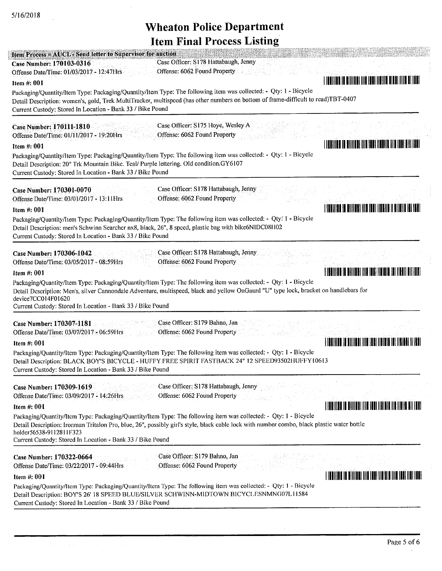| o<br>Item Process = AUCL - Send letter to Supervisor for auction<br>Case Officer: S178 Hattabaugh, Jenny<br><b>Case Number: 170103-0316</b><br>Offense: 6062 Found Property<br>Offense Date/Time: 01/03/2017 - 12:47Hrs<br>Item #: 001                                                                                                                                                                                                                                                                                   | <u>TILATIINE IN HIIIIANE IIIN ENEE IINEILA MENE IIIIN METANEI</u>     |
|--------------------------------------------------------------------------------------------------------------------------------------------------------------------------------------------------------------------------------------------------------------------------------------------------------------------------------------------------------------------------------------------------------------------------------------------------------------------------------------------------------------------------|-----------------------------------------------------------------------|
| Packaging/Quantity/Item Type: Packaging/Quantity/Item Type: The following item was collected: - Qty: 1 - Bicycle<br>Detail Description: women's, gold, Trek MultiTracker, multispeed (has other numbers on bottom of frame-difficult to read)TBT-0407<br>Current Custody: Stored In Location - Bank 33 / Bike Pound                                                                                                                                                                                                      |                                                                       |
| Case Officer: S175 Hoye, Wesley A<br><b>Case Number: 170111-1810</b><br>Offense: 6062 Found Property<br>Offense Date/Time: 01/11/2017 - 19:20Hrs<br>Item #: 001<br>Packaging/Quantity/Item Type: Packaging/Quantity/Item Type: The following item was collected: - Qty: 1 - Bicycle<br>Detail Description: 20" Trk Mountain Bike. Teal/ Purple lettering. Old condition.GY6107<br>Current Custody: Stored In Location - Bank 33 / Bike Pound                                                                             | I FORTING OF BILITING CITY INNI INDIAL TIM THE RIN THAT               |
| Case Officer: S178 Hattabaugh, Jenny<br>Case Number: 170301-0070<br>Offense: 6062 Found Property<br>Offense Date/Time: 03/01/2017 - 13:11Hrs<br>Item $#: 001$<br>Packaging/Quantity/Item Type: Packaging/Quantity/Item Type: The following item was collected: - Qty: 1 - Bicycle<br>Detail Description: men's Schwinn Searcher nx8, black, 26", 8 spced, plastic bag with bike6NIDC08H02<br>Current Custody: Stored In Location - Bank 33 / Bike Pound                                                                  | <u>   FRINGER (A BILITAR) INA FARI MARTIA ILAMENA FAFIANT</u>         |
| Case Officer: S178 Hattabaugh, Jenny<br>Case Number: 170306-1042<br>Offense: 6062 Found Property<br>Offense Date/Time: 03/05/2017 - 08:59Hrs<br>Item $#: 001$<br>Packaging/Quantity/Item Type: Packaging/Quantity/Item Type: The following item was collected: - Qty: 1 - Bicycle<br>Detail Description: Men's, silver Cannondale Adventure, multispeed, black and yellow OnGaurd "U" type lock, bracket on handlebars for<br>device7CC014F01620<br>Current Custody: Stored In Location - Bank 33 / Bike Pound           | <u> 1 I AN I II AN DE LI DE LI IN DE LA LI ANNE I ANNI AN I AN I </u> |
| Case Officer: S179 Bahno, Jan<br>Case Number: 170307-1181<br>Offense: 6062 Found Property<br>Offense Date/Time: 03/07/2017 - 06:59Hrs<br>Item #: 001<br>Packaging/Quantity/Item Type: Packaging/Quantity/Item Type: The following item was collected: - Qty: 1 - Bicycle<br>Detail Description: BLACK BOY'S BICYCLE - HUFFY FREE SPIRIT FASTBACK 24" 12 SPEED93502HUFFY10613<br>Current Custody: Stored In Location - Bank 33 / Bike Pound                                                                               | A THU INTU I AU U UILITUU III AN AN AN THA TUADH THU TUATH I AN TH    |
| Case Officer: S178 Hattabaugh, Jenny<br>Case Number: 170309-1619<br>Offense: 6062 Found Property<br>Offense Date/Time: 03/09/2017 - 14:26Hrs<br>Item $#: 001$<br>Packaging/Quantity/Item Type: Packaging/Quantity/Item Type: The following item was collected: - Qty: 1 - Bicycle<br>Detail Description: Ironman Tritalon Pro, blue, 26", possibly girl's style, black cable lock with number combo, black plastic water bottle<br>holder56538-9112811F323<br>Current Custody: Stored In Location - Bank 33 / Bike Pound | <u>T FOR THE ORIGINAL THE BOAT HOLD FOR THE THE RELEASED ON A </u>    |
| Case Officer: S179 Bahno, Jan<br>Case Number: 170322-0664<br>Offense: 6062 Found Property<br>Offense Date/Time: 03/22/2017 - 09:44Hrs<br>Item #: 001<br>Packaging/Quantity/Item Type: Packaging/Quantity/Item Type: The following item was collected: - Qty: 1 - Bicycle<br>Detail Description: BOY'S 26' 18 SPEED BLUE/SILVER SCHWINN-MIDTOWN BICYCLESNMNG07L11584<br>Current Custody: Stored In Location - Bank 33 / Bike Pound                                                                                        |                                                                       |